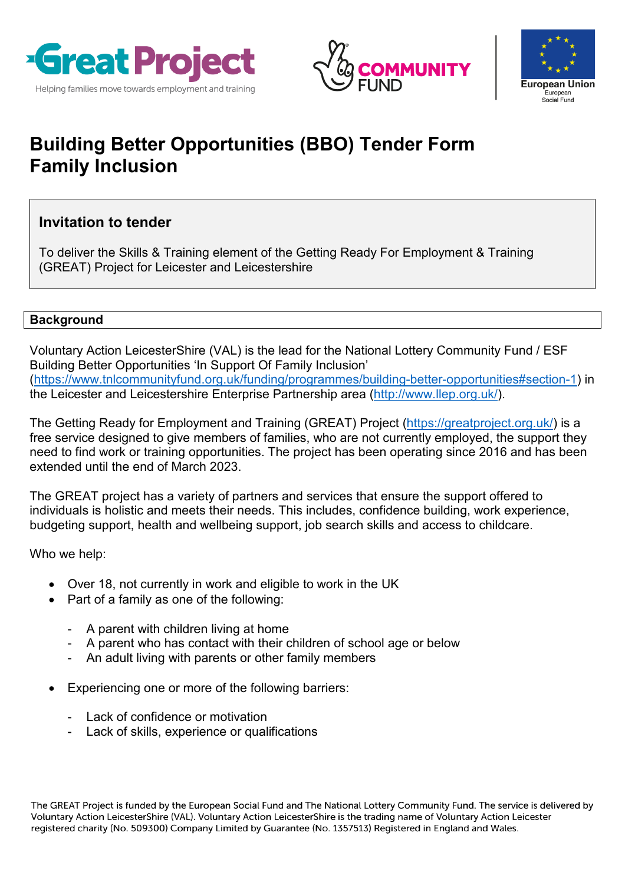





# **Building Better Opportunities (BBO) Tender Form Family Inclusion**

## **Invitation to tender**

To deliver the Skills & Training element of the Getting Ready For Employment & Training (GREAT) Project for Leicester and Leicestershire

## **Background**

Voluntary Action LeicesterShire (VAL) is the lead for the National Lottery Community Fund / ESF Building Better Opportunities 'In Support Of Family Inclusion' [\(https://www.tnlcommunityfund.org.uk/funding/programmes/building-better-opportunities#section-1\)](https://www.tnlcommunityfund.org.uk/funding/programmes/building-better-opportunities#section-1) in the Leicester and Leicestershire Enterprise Partnership area [\(http://www.llep.org.uk/\)](http://www.llep.org.uk/).

The Getting Ready for Employment and Training (GREAT) Project [\(https://greatproject.org.uk/\)](https://greatproject.org.uk/) is a free service designed to give members of families, who are not currently employed, the support they need to find work or training opportunities. The project has been operating since 2016 and has been extended until the end of March 2023.

The GREAT project has a variety of partners and services that ensure the support offered to individuals is holistic and meets their needs. This includes, confidence building, work experience, budgeting support, health and wellbeing support, job search skills and access to childcare.

Who we help:

- Over 18, not currently in work and eligible to work in the UK
- Part of a family as one of the following:
	- A parent with children living at home
	- A parent who has contact with their children of school age or below
	- An adult living with parents or other family members
- Experiencing one or more of the following barriers:
	- Lack of confidence or motivation
	- Lack of skills, experience or qualifications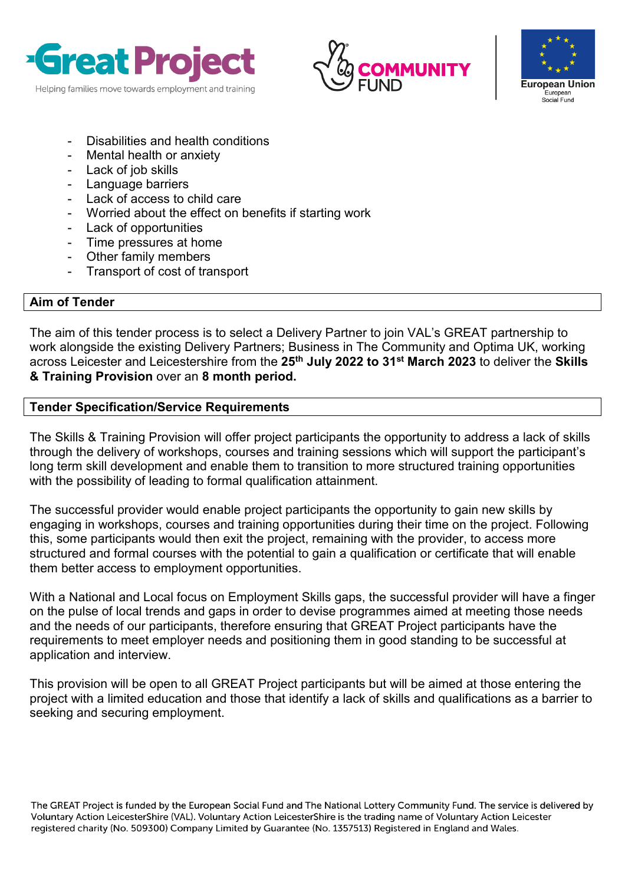





- Disabilities and health conditions
- Mental health or anxiety
- Lack of job skills
- Language barriers
- Lack of access to child care
- Worried about the effect on benefits if starting work
- Lack of opportunities
- Time pressures at home
- Other family members
- Transport of cost of transport

#### **Aim of Tender**

The aim of this tender process is to select a Delivery Partner to join VAL's GREAT partnership to work alongside the existing Delivery Partners; Business in The Community and Optima UK, working across Leicester and Leicestershire from the **25th July 2022 to 31st March 2023** to deliver the **Skills & Training Provision** over an **8 month period.**

#### **Tender Specification/Service Requirements**

The Skills & Training Provision will offer project participants the opportunity to address a lack of skills through the delivery of workshops, courses and training sessions which will support the participant's long term skill development and enable them to transition to more structured training opportunities with the possibility of leading to formal qualification attainment.

The successful provider would enable project participants the opportunity to gain new skills by engaging in workshops, courses and training opportunities during their time on the project. Following this, some participants would then exit the project, remaining with the provider, to access more structured and formal courses with the potential to gain a qualification or certificate that will enable them better access to employment opportunities.

With a National and Local focus on Employment Skills gaps, the successful provider will have a finger on the pulse of local trends and gaps in order to devise programmes aimed at meeting those needs and the needs of our participants, therefore ensuring that GREAT Project participants have the requirements to meet employer needs and positioning them in good standing to be successful at application and interview.

This provision will be open to all GREAT Project participants but will be aimed at those entering the project with a limited education and those that identify a lack of skills and qualifications as a barrier to seeking and securing employment.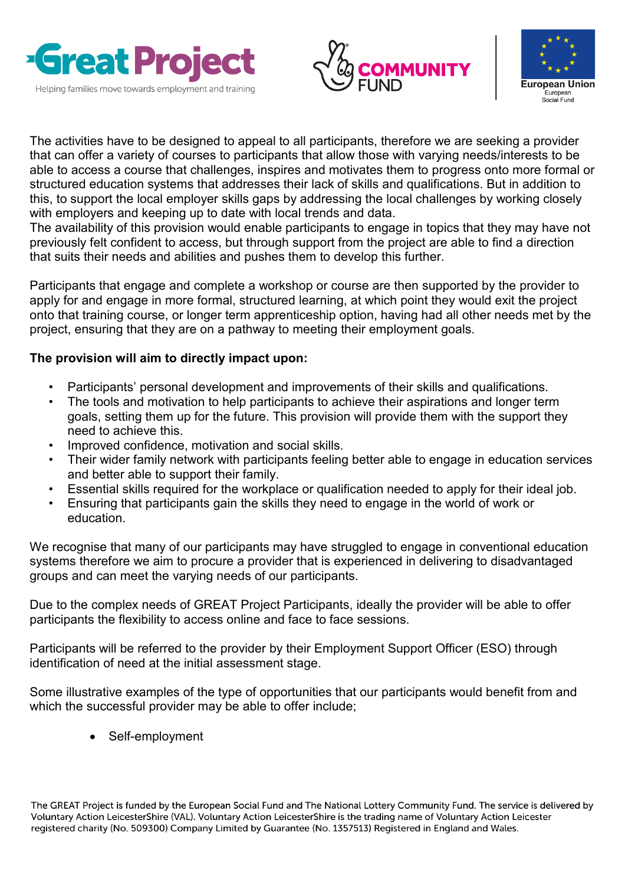





The activities have to be designed to appeal to all participants, therefore we are seeking a provider that can offer a variety of courses to participants that allow those with varying needs/interests to be able to access a course that challenges, inspires and motivates them to progress onto more formal or structured education systems that addresses their lack of skills and qualifications. But in addition to this, to support the local employer skills gaps by addressing the local challenges by working closely with employers and keeping up to date with local trends and data.

The availability of this provision would enable participants to engage in topics that they may have not previously felt confident to access, but through support from the project are able to find a direction that suits their needs and abilities and pushes them to develop this further.

Participants that engage and complete a workshop or course are then supported by the provider to apply for and engage in more formal, structured learning, at which point they would exit the project onto that training course, or longer term apprenticeship option, having had all other needs met by the project, ensuring that they are on a pathway to meeting their employment goals.

## **The provision will aim to directly impact upon:**

- Participants' personal development and improvements of their skills and qualifications.
- The tools and motivation to help participants to achieve their aspirations and longer term goals, setting them up for the future. This provision will provide them with the support they need to achieve this.
- Improved confidence, motivation and social skills.
- Their wider family network with participants feeling better able to engage in education services and better able to support their family.
- Essential skills required for the workplace or qualification needed to apply for their ideal job.
- Ensuring that participants gain the skills they need to engage in the world of work or education.

We recognise that many of our participants may have struggled to engage in conventional education systems therefore we aim to procure a provider that is experienced in delivering to disadvantaged groups and can meet the varying needs of our participants.

Due to the complex needs of GREAT Project Participants, ideally the provider will be able to offer participants the flexibility to access online and face to face sessions.

Participants will be referred to the provider by their Employment Support Officer (ESO) through identification of need at the initial assessment stage.

Some illustrative examples of the type of opportunities that our participants would benefit from and which the successful provider may be able to offer include;

Self-employment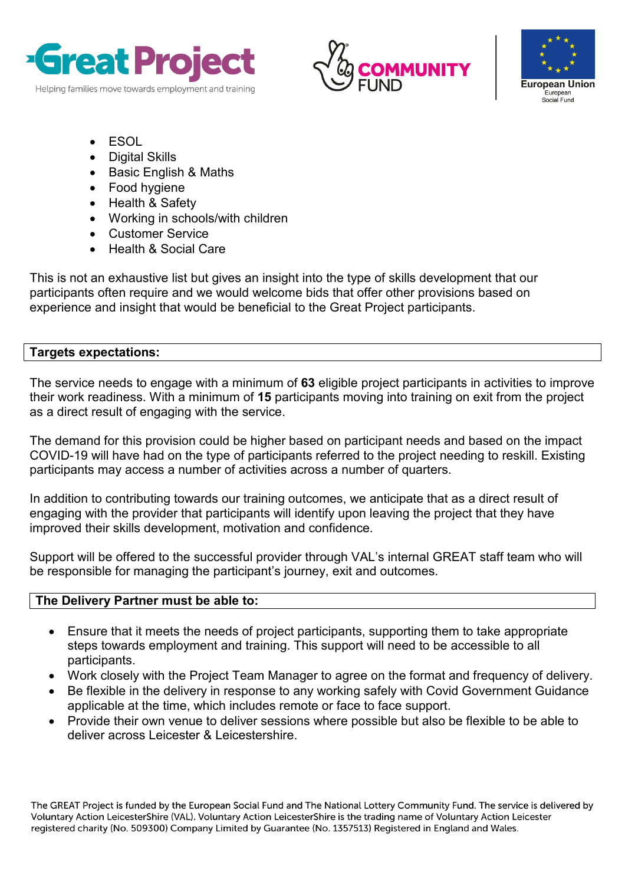





- ESOL
- Digital Skills
- Basic English & Maths
- Food hygiene
- Health & Safety
- Working in schools/with children
- Customer Service
- Health & Social Care

This is not an exhaustive list but gives an insight into the type of skills development that our participants often require and we would welcome bids that offer other provisions based on experience and insight that would be beneficial to the Great Project participants.

## **Targets expectations:**

The service needs to engage with a minimum of **63** eligible project participants in activities to improve their work readiness. With a minimum of **15** participants moving into training on exit from the project as a direct result of engaging with the service.

The demand for this provision could be higher based on participant needs and based on the impact COVID-19 will have had on the type of participants referred to the project needing to reskill. Existing participants may access a number of activities across a number of quarters.

In addition to contributing towards our training outcomes, we anticipate that as a direct result of engaging with the provider that participants will identify upon leaving the project that they have improved their skills development, motivation and confidence.

Support will be offered to the successful provider through VAL's internal GREAT staff team who will be responsible for managing the participant's journey, exit and outcomes.

## **The Delivery Partner must be able to:**

- Ensure that it meets the needs of project participants, supporting them to take appropriate steps towards employment and training. This support will need to be accessible to all participants.
- Work closely with the Project Team Manager to agree on the format and frequency of delivery.
- Be flexible in the delivery in response to any working safely with Covid Government Guidance applicable at the time, which includes remote or face to face support.
- Provide their own venue to deliver sessions where possible but also be flexible to be able to deliver across Leicester & Leicestershire.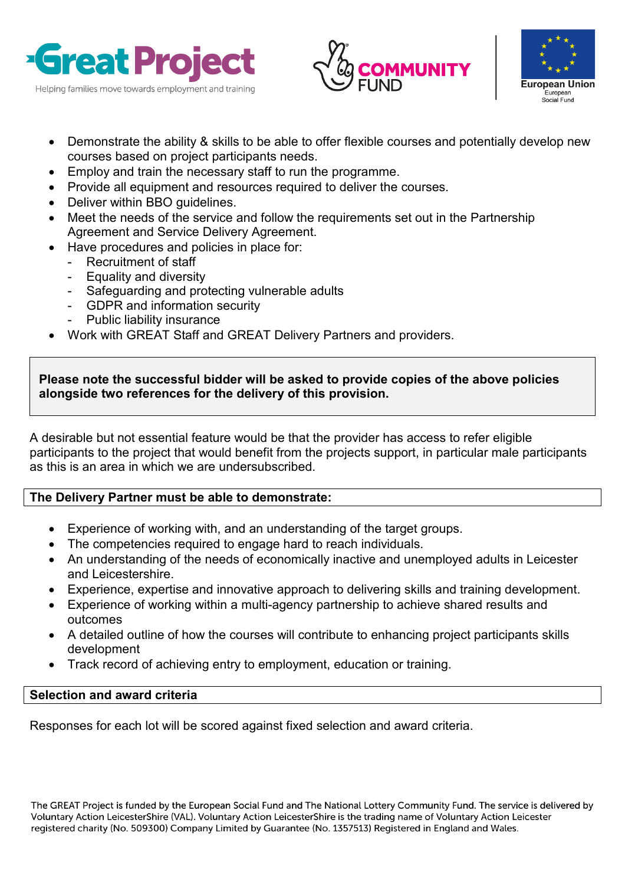





- Demonstrate the ability & skills to be able to offer flexible courses and potentially develop new courses based on project participants needs.
- Employ and train the necessary staff to run the programme.
- Provide all equipment and resources required to deliver the courses.
- Deliver within BBO guidelines.
- Meet the needs of the service and follow the requirements set out in the Partnership Agreement and Service Delivery Agreement.
- Have procedures and policies in place for:
	- Recruitment of staff
	- Equality and diversity
	- Safeguarding and protecting vulnerable adults
	- GDPR and information security
	- Public liability insurance
- Work with GREAT Staff and GREAT Delivery Partners and providers.

## **Please note the successful bidder will be asked to provide copies of the above policies alongside two references for the delivery of this provision.**

A desirable but not essential feature would be that the provider has access to refer eligible participants to the project that would benefit from the projects support, in particular male participants as this is an area in which we are undersubscribed.

## **The Delivery Partner must be able to demonstrate:**

- Experience of working with, and an understanding of the target groups.
- The competencies required to engage hard to reach individuals.
- An understanding of the needs of economically inactive and unemployed adults in Leicester and Leicestershire.
- Experience, expertise and innovative approach to delivering skills and training development.
- Experience of working within a multi-agency partnership to achieve shared results and outcomes
- A detailed outline of how the courses will contribute to enhancing project participants skills development
- Track record of achieving entry to employment, education or training.

## **Selection and award criteria**

Responses for each lot will be scored against fixed selection and award criteria.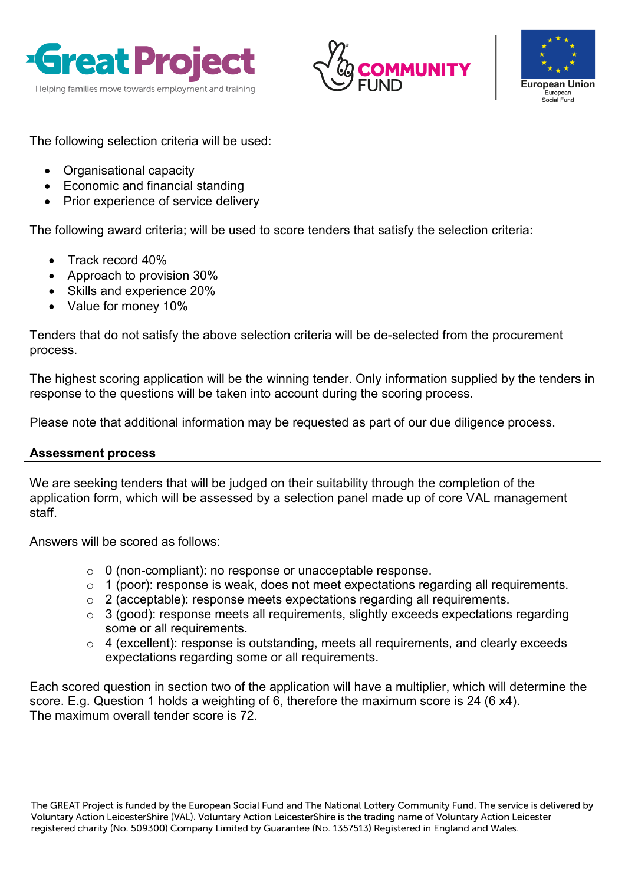





The following selection criteria will be used:

- Organisational capacity
- Economic and financial standing
- Prior experience of service delivery

The following award criteria; will be used to score tenders that satisfy the selection criteria:

- Track record 40%
- Approach to provision 30%
- Skills and experience 20%
- Value for money 10%

Tenders that do not satisfy the above selection criteria will be de-selected from the procurement process.

The highest scoring application will be the winning tender. Only information supplied by the tenders in response to the questions will be taken into account during the scoring process.

Please note that additional information may be requested as part of our due diligence process.

## **Assessment process**

We are seeking tenders that will be judged on their suitability through the completion of the application form, which will be assessed by a selection panel made up of core VAL management staff.

Answers will be scored as follows:

- o 0 (non-compliant): no response or unacceptable response.
- o 1 (poor): response is weak, does not meet expectations regarding all requirements.
- o 2 (acceptable): response meets expectations regarding all requirements.
- o 3 (good): response meets all requirements, slightly exceeds expectations regarding some or all requirements.
- $\circ$  4 (excellent): response is outstanding, meets all requirements, and clearly exceeds expectations regarding some or all requirements.

Each scored question in section two of the application will have a multiplier, which will determine the score. E.g. Question 1 holds a weighting of 6, therefore the maximum score is 24 (6 x4). The maximum overall tender score is 72.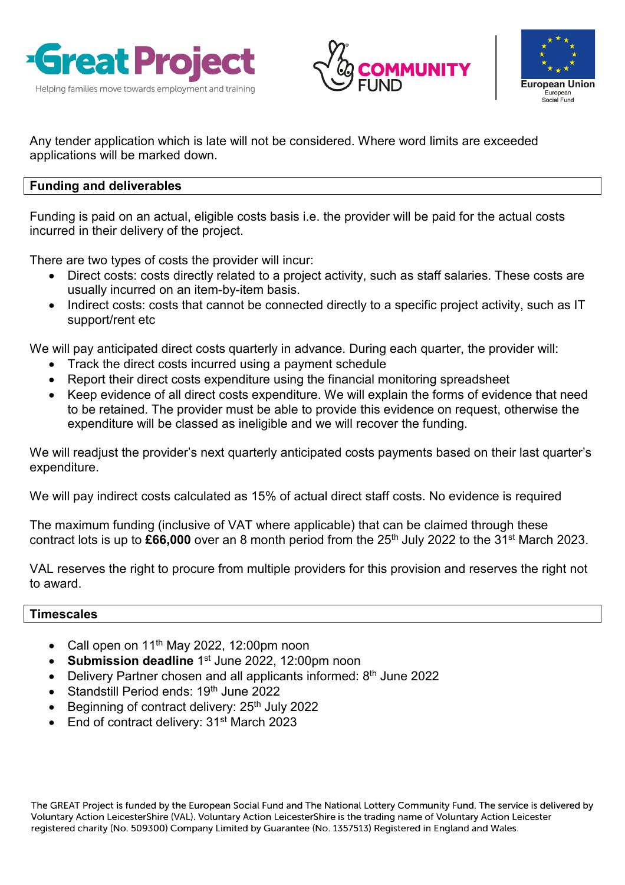





Any tender application which is late will not be considered. Where word limits are exceeded applications will be marked down.

## **Funding and deliverables**

Funding is paid on an actual, eligible costs basis i.e. the provider will be paid for the actual costs incurred in their delivery of the project.

There are two types of costs the provider will incur:

- Direct costs: costs directly related to a project activity, such as staff salaries. These costs are usually incurred on an item-by-item basis.
- Indirect costs: costs that cannot be connected directly to a specific project activity, such as IT support/rent etc

We will pay anticipated direct costs quarterly in advance. During each quarter, the provider will:

- Track the direct costs incurred using a payment schedule
- Report their direct costs expenditure using the financial monitoring spreadsheet
- Keep evidence of all direct costs expenditure. We will explain the forms of evidence that need to be retained. The provider must be able to provide this evidence on request, otherwise the expenditure will be classed as ineligible and we will recover the funding.

We will readjust the provider's next quarterly anticipated costs payments based on their last quarter's expenditure.

We will pay indirect costs calculated as 15% of actual direct staff costs. No evidence is required

The maximum funding (inclusive of VAT where applicable) that can be claimed through these contract lots is up to **£66,000** over an 8 month period from the 25th July 2022 to the 31st March 2023.

VAL reserves the right to procure from multiple providers for this provision and reserves the right not to award.

## **Timescales**

- Call open on  $11<sup>th</sup>$  May 2022, 12:00pm noon
- **Submission deadline** 1<sup>st</sup> June 2022, 12:00pm noon
- Delivery Partner chosen and all applicants informed:  $8<sup>th</sup>$  June 2022
- Standstill Period ends: 19<sup>th</sup> June 2022
- Beginning of contract delivery: 25<sup>th</sup> July 2022
- End of contract delivery: 31<sup>st</sup> March 2023